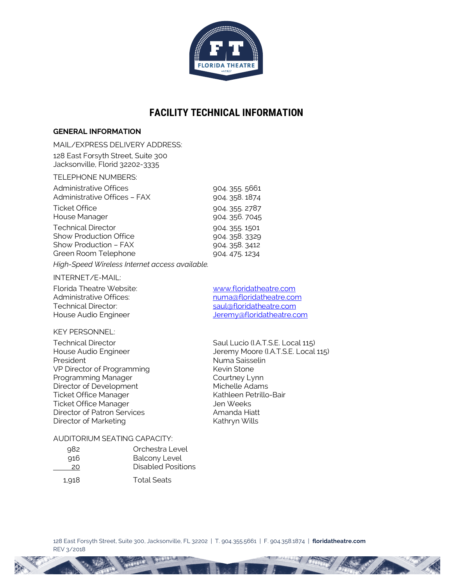

# **FACILITY TECHNICAL INFORMATION**

# **GENERAL INFORMATION**

MAIL/EXPRESS DELIVERY ADDRESS: 128 East Forsyth Street, Suite 300 Jacksonville, Florid 32202-3335

#### TELEPHONE NUMBERS:

| Administrative Offices        | 904. 355. 5661 |
|-------------------------------|----------------|
| Administrative Offices - FAX  | 904. 358. 1874 |
| <b>Ticket Office</b>          | 904. 355. 2787 |
| House Manager                 | 904.356.7045   |
| <b>Technical Director</b>     | 904 355 1501   |
| <b>Show Production Office</b> | 904.358.3329   |
| Show Production - FAX         | 904.358.3412   |
| Green Room Telephone          | 904.475.1234   |

*High-Speed Wireless Internet access available.*

#### INTERNET/E-MAIL:

Florida Theatre Website:<br>
Administrative Offices:<br>
Administrative Offices:<br>
Show the muma@floridatheatre.com

# KEY PERSONNEL:

President Numa Saisselin VP Director of Programming Kevin Stone Programming Manager Courtney Lynn<br>Director of Development Courtney Lynn Director of Development Michelle Adams<br>
Ticket Office Manager Mathleen Petrillo-Bair Ticket Office Manager<br>
Ticket Office Manager<br>
Jen Weeks Ticket Office Manager Director of Patron Services Amanda Hiatt Director of Marketing **Kathryn Wills** 

Administrative Offices:<br>
Technical Director: numa@floridatheatre.com<br>
saul@floridatheatre.com saul@floridatheatre.com House Audio Engineer and The Mateur Mercury and Jeremy@floridatheatre.com

Technical Director **Saul Lucio (I.A.T.S.E. Local 115)**<br>House Audio Engineer **Saul Lucio (I.A.T.S.E. Local 115)** Jeremy Moore (I.A.T.S.E. Local 115)

#### AUDITORIUM SEATING CAPACITY:

| 982   | Orchestra Level      |
|-------|----------------------|
| 916   | <b>Balcony Level</b> |
| 20    | Disabled Positions   |
| 1.918 | <b>Total Seats</b>   |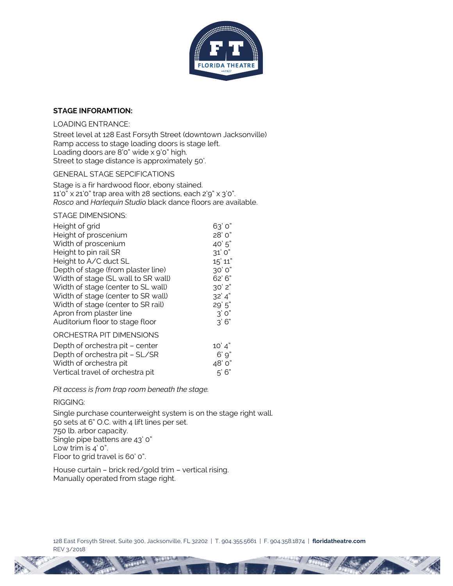

# **STAGE INFORAMTION:**

# LOADING ENTRANCE:

Street level at 128 East Forsyth Street (downtown Jacksonville) Ramp access to stage loading doors is stage left. Loading doors are 8'0" wide x 9'0" high. Street to stage distance is approximately 50'.

GENERAL STAGE SEPCIFICATIONS

Stage is a fir hardwood floor, ebony stained. 11'0" x 21'0" trap area with 28 sections, each 2'9" x 3'0". *Rosco* and *Harlequin Studio* black dance floors are available.

STAGE DIMENSIONS:

| Height of grid                      | 63' 0"    |
|-------------------------------------|-----------|
| Height of proscenium                | 28' 0"    |
| Width of proscenium                 | 40'5"     |
| Height to pin rail SR               | 31' O"    |
| Height to A/C duct SL               | 15' 11"   |
| Depth of stage (from plaster line)  | 30'0''    |
| Width of stage (SL wall to SR wall) | 62'6"     |
| Width of stage (center to SL wall)  | 30'2"     |
| Width of stage (center to SR wall)  | 32' 4"    |
| Width of stage (center to SR rail)  | 29'5"     |
| Apron from plaster line             | 3'0"      |
| Auditorium floor to stage floor     | 3'6"      |
| ORCHESTRA PIT DIMENSIONS            |           |
| Depth of orchestra pit - center     | 10' 4"    |
| Depth of orchestra pit - SL/SR      | $6'$ $9"$ |
| Width of orchestra pit              | 48' 0"    |
| Vertical travel of orchestra pit    | 5'6''     |

*Pit access is from trap room beneath the stage.*

# RIGGING:

Single purchase counterweight system is on the stage right wall. 50 sets at 6" O.C. with 4 lift lines per set. 750 lb. arbor capacity. Single pipe battens are 43' 0" Low trim is 4' 0". Floor to grid travel is 60' 0".

House curtain – brick red/gold trim – vertical rising. Manually operated from stage right.

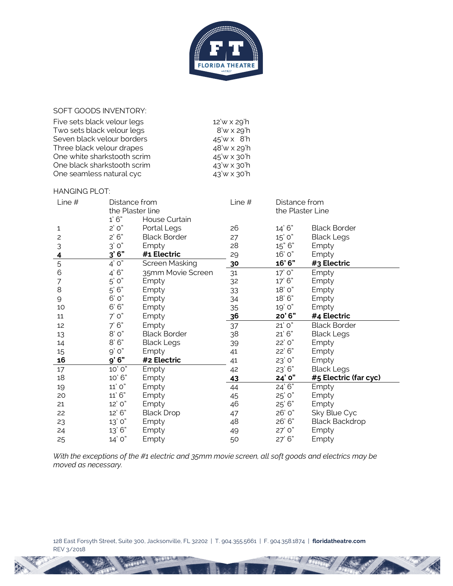

SOFT GOODS INVENTORY:

| Five sets black velour legs | 12'w x 29'h   |
|-----------------------------|---------------|
| Two sets black velour legs  | 8'w x 29'h    |
| Seven black velour borders  | $45'$ w x 8'h |
| Three black velour drapes   | 48'w x 29'h   |
| One white sharkstooth scrim | 45'w x 30'h   |
| One black sharkstooth scrim | 43'w x 30'h   |
| One seamless natural cyc    | 43'w x 30'h   |

#### HANGING PLOT:

| Line $#$                | Distance from<br>the Plaster line<br>1'6" | House Curtain       | Line $#$ | Distance from<br>the Plaster Line |                       |
|-------------------------|-------------------------------------------|---------------------|----------|-----------------------------------|-----------------------|
| 1                       | $2'$ O"                                   | Portal Legs         | 26       | 14'6"                             | <b>Black Border</b>   |
| $\overline{c}$          | 2'6"                                      | <b>Black Border</b> | 27       | 15' 0"                            | <b>Black Legs</b>     |
| 3                       | 3'0"                                      | Empty               | 28       | 15" 6"                            | Empty                 |
| $\overline{\mathbf{r}}$ | 3'6"                                      | #1 Electric         | 29       | 16' 0"                            | Empty                 |
| 5                       | $4'$ O"                                   | Screen Masking      | 30       | 16'6"                             | #3 Electric           |
| 6                       | 4'6"                                      | 35mm Movie Screen   | 31       | 17' 0"                            | Empty                 |
| 7                       | $5'$ $0"$                                 | Empty               | 32       | 17'6"                             | Empty                 |
| 8                       | $5'$ $6"$                                 | Empty               | 33       | 18' 0"                            | Empty                 |
| $\mathsf{Q}$            | 6' 0"                                     | Empty               | 34       | 18'6"                             | Empty                 |
| 10                      | 6'6"                                      | Empty               | 35       | 19' 0"                            | Empty                 |
| 11                      | 7'0''                                     | Empty               | 36       | 20'6"                             | #4 Electric           |
| 12                      | 7'6''                                     | Empty               | 37       | 21'0"                             | <b>Black Border</b>   |
| 13                      | 8' o"                                     | <b>Black Border</b> | 38       | 21'6"                             | <b>Black Legs</b>     |
| 14                      | 8'6"                                      | <b>Black Legs</b>   | 39       | 22' 0"                            | Empty                 |
| 15                      | $\mbox{O}'$ $\mbox{O}''$                  | Empty               | 41       | 22'6"                             | Empty                 |
| 16                      | 9'6"                                      | #2 Electric         | 41       | 23' 0"                            | Empty                 |
| 17                      | 10' 0"                                    | Empty               | 42       | 23'6"                             | <b>Black Legs</b>     |
| 18                      | 10'6"                                     | Empty               | 43       | 24' 0"                            | #5 Electric (far cyc) |
| 19                      | 11' O"                                    | Empty               | 44       | 24'6''                            | Empty                 |
| 20                      | 11'6"                                     | Empty               | 45       | 25' 0"                            | Empty                 |
| 21                      | 12' 0"                                    | Empty               | 46       | $25'$ 6"                          | Empty                 |
| 22                      | 12'6"                                     | <b>Black Drop</b>   | 47       | 26' 0"                            | Sky Blue Cyc          |
| 23                      | 13' 0"                                    | Empty               | 48       | 26'6"                             | <b>Black Backdrop</b> |
| 24                      | 13'6"                                     | Empty               | 49       | 27' 0"                            | Empty                 |
| 25                      | 14' 0"                                    | Empty               | 50       | 27'6"                             | Empty                 |

*With the exceptions of the #1 electric and 35mm movie screen, all soft goods and electrics may be moved as necessary.*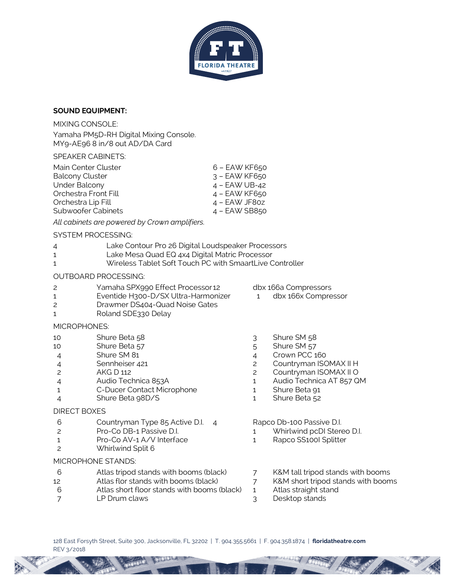

# **SOUND EQUIPMENT:**

MIXING CONSOLE:

Yamaha PM5D-RH Digital Mixing Console. MY9-AE96 8 in/8 out AD/DA Card

#### SPEAKER CABINETS:

| Main Center Cluster    | $6 - EAWKF650$  |
|------------------------|-----------------|
| <b>Balcony Cluster</b> | $3 - EAWKF650$  |
| <b>Under Balcony</b>   | $4 - EAWUB-42$  |
| Orchestra Front Fill   | $4 - EAWKF650$  |
| Orchestra Lip Fill     | $4 - EAWJF8oz$  |
| Subwoofer Cabinets     | $4 - EAW$ SB850 |

*All cabinets are powered by Crown amplifiers.*

# SYSTEM PROCESSING:

| Lake Contour Pro 26 Digital Loudspeaker Processors |
|----------------------------------------------------|
|----------------------------------------------------|

- 1 Lake Mesa Quad EQ 4x4 Digital Matric Processor
- 1 Wireless Tablet Soft Touch PC with SmaartLive Controller

# OUTBOARD PROCESSING:

- 2 Yamaha SPX990 Effect Processor 12 dbx 166a Compressors
- 1 Eventide H300-D/SX Ultra-Harmonizer 1 dbx 166x Compressor
- 2 Drawmer DS404-Quad Noise Gates
- 1 Roland SDE330 Delay

# MICROPHONES:

- 10 Shure Beta 58 3 Shure SM 58
- 10 Shure Beta 57 5 Shure SM 57<br>
4 Shure SM 81 5 4 Crown PCC 1
- 4 Shure SM 81 4 Crown PCC 160
- 
- 
- 
- 1 C-Ducer Contact Microphone 1 Shure Beta 91
- 4 Shure Beta 98D/S 1 Shure Beta 52

# DIRECT BOXES

- 6 Countryman Type 85 Active D.I. 4 Rapco Db-100 Passive D.I.
- 2 Pro-Co DB-1 Passive D.I. 1 Whirlwind pcDI Stereo D.I.
- 1 Pro-Co AV-1 A/V Interface 1 Rapco SS100I Splitter
- 2 Whirlwind Split 6

#### MICROPHONE STANDS:

- 6 Atlas tripod stands with booms (black) 7 K&M tall tripod stands with booms
- 12 Atlas flor stands with booms (black)  $\overline{7}$  K&M short tripod stands with booms
- 6 Atlas short floor stands with booms (black) 1 Atlas straight stand
- 7 LP Drum claws 3 Desktop stands
- 
- 
- 
- 
- 4 Sennheiser 421 2 2 Countryman ISOMAX II H
- 2 AKG D 112 2 Countryman ISOMAX II O
- 4 Audio Technica 853A 1 Audio Technica AT 857 QM
	-
	-

- 
- 
- 
- 
- 
-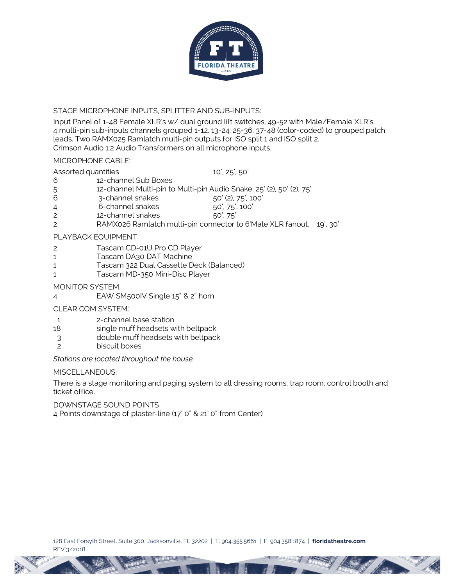

# STAGE MICROPHONE INPUTS, SPLITTER AND SUB-INPUTS:

Input Panel of 1-48 Female XLR's w/ dual ground lift switches, 49-52 with Male/Female XLR's. 4 multi-pin sub-inputs channels grouped 1-12, 13-24, 25-36, 37-48 (color-coded) to grouped patch leads. Two RAMX025 Ramlatch multi-pin outputs for ISO split 1 and ISO split 2. Crimson Audio 1:2 Audio Transformers on all microphone inputs.

# MICROPHONE CABLE:

# Assorted quantities 10', 25', 50'

- 6 12-channel Sub Boxes
- 5 12-channel Multi-pin to Multi-pin Audio Snake. 25' (2), 50' (2), 75'
- 6 3-channel snakes 50' (2), 75', 100'
- 4 6-channel snakes 50', 75', 100'
- 2 12-channel snakes 50', 75'
- 2 RAMX026 Ramlatch multi-pin connector to 6'Male XLR fanout. 19', 30'

# PLAYBACK EQUIPMENT

- 2 Tascam CD-01U Pro CD Player
- 1 Tascam DA30 DAT Machine
- 1 Tascam 322 Dual Cassette Deck (Balanced)
- 1 Tascam MD-350 Mini-Disc Player

# MONITOR SYSTEM:

4 EAW SM500IV Single 15" & 2" horn

# CLEAR COM SYSTEM:

- 1 2-channel base station
- 18 single muff headsets with beltpack
- 3 double muff headsets with beltpack
- 2 biscuit boxes

*Stations are located throughout the house.*

# MISCELLANEOUS:

There is a stage monitoring and paging system to all dressing rooms, trap room, control booth and ticket office.

DOWNSTAGE SOUND POINTS

4 Points downstage of plaster-line (17' 0" & 21' 0" from Center)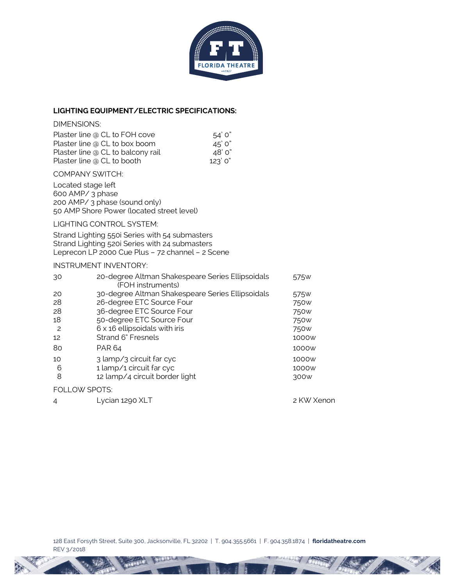

# **LIGHTING EQUIPMENT/ELECTRIC SPECIFICATIONS:**

# DIMENSIONS:

| Plaster line @ CL to FOH cove     | 54 ° 0  |
|-----------------------------------|---------|
| Plaster line @ CL to box boom     | 45'0''  |
| Plaster line @ CL to balcony rail | 48' 0"  |
| Plaster line @ CL to booth        | 123'0'' |

#### COMPANY SWITCH:

Located stage left 600 AMP/ 3 phase 200 AMP/ 3 phase (sound only) 50 AMP Shore Power (located street level)

# LIGHTING CONTROL SYSTEM:

Strand Lighting 550i Series with 54 submasters Strand Lighting 520i Series with 24 submasters Leprecon LP 2000 Cue Plus – 72 channel – 2 Scene

# INSTRUMENT INVENTORY:

| 30 | 20-degree Altman Shakespeare Series Ellipsoidals<br>(FOH instruments) | 575 <sub>w</sub> |
|----|-----------------------------------------------------------------------|------------------|
| 20 | 30-degree Altman Shakespeare Series Ellipsoidals                      | 575 <sub>w</sub> |
| 28 | 26-degree ETC Source Four                                             | 750 <sub>w</sub> |
| 28 | 36-degree ETC Source Four                                             | 750 <sub>w</sub> |
| 18 | 50-degree ETC Source Four                                             | 750 <sub>w</sub> |
| 2  | $6 \times 16$ ellipsoidals with iris                                  | 750 <sub>w</sub> |
| 12 | Strand 6" Fresnels                                                    | 1000w            |
| 80 | PAR 64                                                                | 1000w            |
| 10 | 3 lamp/3 circuit far cyc                                              | 1000w            |
| 6  | 1 lamp/1 circuit far cyc                                              | 1000w            |
| 8  | 12 lamp/4 circuit border light                                        | 300 <sub>W</sub> |
|    | <b>FOLLOW SPOTS:</b>                                                  |                  |
| 4  | Lycian 1290 XLT                                                       | 2 KW Xenon       |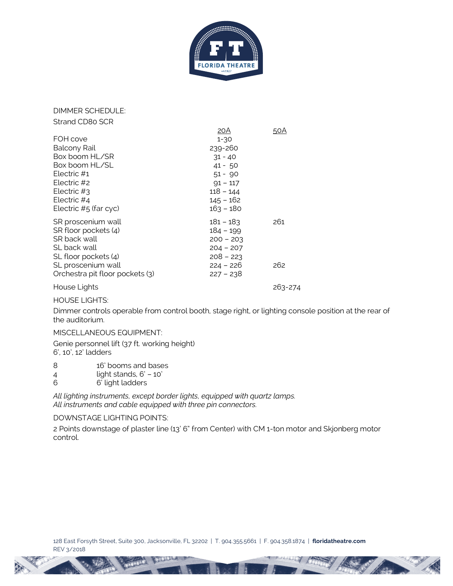

DIMMER SCHEDULE: Strand CD80 SCR

|                                 | 20A         | 50A     |
|---------------------------------|-------------|---------|
| FOH cove                        | $1 - 30$    |         |
| <b>Balcony Rail</b>             | 239-260     |         |
| Box boom HL/SR                  | $31 - 40$   |         |
| Box boom HL/SL                  | $41 - 50$   |         |
| Electric $#1$                   | $51 - 90$   |         |
| Flectric #2                     | $91 - 117$  |         |
| Electric $#3$                   | $118 - 144$ |         |
| Electric #4                     | $145 - 162$ |         |
| Electric $#5$ (far cyc)         | $163 - 180$ |         |
| SR proscenium wall              | 181 – 183   | 261     |
| SR floor pockets (4)            | 184 - 199   |         |
| SR back wall                    | $200 - 203$ |         |
| SL back wall                    | $204 - 207$ |         |
| SL floor pockets (4)            | $208 - 223$ |         |
| SL proscenium wall              | $224 - 226$ | 262     |
| Orchestra pit floor pockets (3) | $227 - 238$ |         |
| House Lights                    |             | 263-274 |

# HOUSE LIGHTS:

Dimmer controls operable from control booth, stage right, or lighting console position at the rear of the auditorium.

# MISCELLANEOUS EQUIPMENT:

Genie personnel lift (37 ft. working height) 6', 10', 12' ladders

- 8 16' booms and bases
- 4 light stands, 6' 10'
- 6 6' light ladders

*All lighting instruments, except border lights, equipped with quartz lamps. All instruments and cable equipped with three pin connectors.*

#### DOWNSTAGE LIGHTING POINTS:

2 Points downstage of plaster line (13' 6" from Center) with CM 1-ton motor and Skjonberg motor control.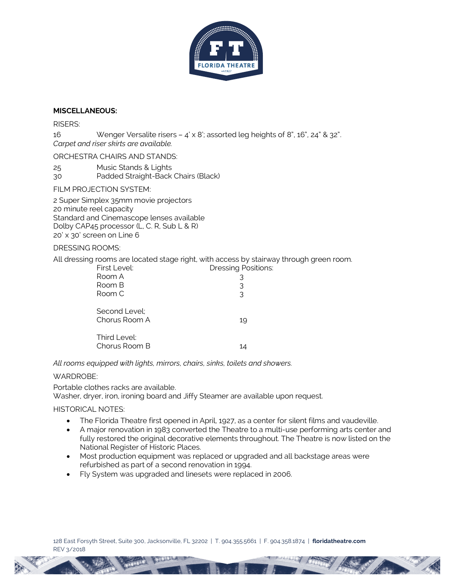

# **MISCELLANEOUS:**

#### RISERS:

16 Wenger Versalite risers – 4' x 8'; assorted leg heights of 8", 16", 24" & 32". *Carpet and riser skirts are available.*

ORCHESTRA CHAIRS AND STANDS:

25 Music Stands & Lights 30 Padded Straight-Back Chairs (Black)

FILM PROJECTION SYSTEM:

2 Super Simplex 35mm movie projectors 20 minute reel capacity Standard and Cinemascope lenses available Dolby CAP45 processor (L, C. R, Sub L & R) 20' x 30' screen on Line 6

# DRESSING ROOMS:

All dressing rooms are located stage right, with access by stairway through green room.

| First Level:                   | <b>Dressing Positions:</b> |
|--------------------------------|----------------------------|
| Room A                         | 3                          |
| Room B                         | 3                          |
| Room C                         | 3                          |
| Second Level:<br>Chorus Room A | 19                         |
| Third Level:<br>Chorus Room B  |                            |

*All rooms equipped with lights, mirrors, chairs, sinks, toilets and showers.*

# WARDROBE:

Portable clothes racks are available. Washer, dryer, iron, ironing board and Jiffy Steamer are available upon request.

# HISTORICAL NOTES:

- The Florida Theatre first opened in April, 1927, as a center for silent films and vaudeville.
- A major renovation in 1983 converted the Theatre to a multi-use performing arts center and fully restored the original decorative elements throughout. The Theatre is now listed on the National Register of Historic Places.
- Most production equipment was replaced or upgraded and all backstage areas were refurbished as part of a second renovation in 1994.
- Fly System was upgraded and linesets were replaced in 2006.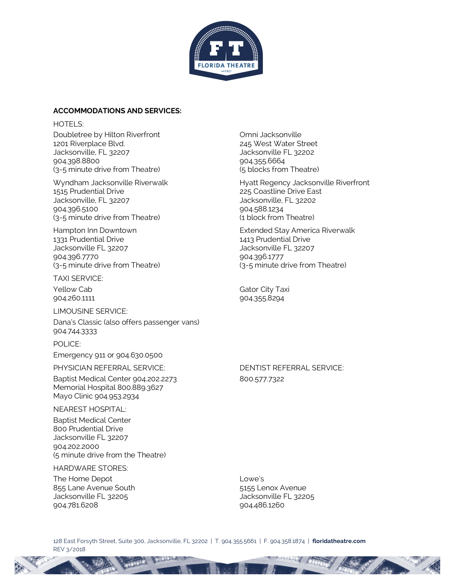

#### **ACCOMMODATIONS AND SERVICES:**

HOTFL<sub>S:</sub> Doubletree by Hilton Riverfront Christian Company Company Doubletree by Hilton Riverfront 1201 Riverplace Blvd.<br>
1201 Riverplace Blvd.<br>
132202 Jacksonville, FL 32207 Jacksonville, FL 32207 904.398.8800 904.355.6664 (3-5 minute drive from Theatre) (5 blocks from Theatre)

1515 Prudential Drive 225 Coastline Drive East Jacksonville, FL 32207 Jacksonville, FL 32202 904.396.5100 904.588.1234 (3-5 minute drive from Theatre) (1 block from Theatre)

1331 Prudential Drive 1413 Prudential Drive Jacksonville FL 32207 Jacksonville FL 32207 904.396.7770 904.396.1777

TAXI SERVICE:

LIMOUSINE SERVICE:

Dana's Classic (also offers passenger vans) 904.744.3333

POLICE: Emergency 911 or 904.630.0500

PHYSICIAN REFERRAL SERVICE: DENTIST REFERRAL SERVICE:

Baptist Medical Center 904.202.2273 800.577.7322 Memorial Hospital 800.889.3627 Mayo Clinic 904.953.2934

NEAREST HOSPITAL:

Baptist Medical Center 800 Prudential Drive Jacksonville FL 32207 904.202.2000 (5 minute drive from the Theatre)

HARDWARE STORES:

The Home Depot **Lowe's** 855 Lane Avenue South 5155 Lenox Avenue Jacksonville FL 32205 Jacksonville FL 32205 904.781.6208 904.486.1260

Wyndham Jacksonville Riverwalk **Hyatt Regency Jacksonville Riverfront** 

Hampton Inn Downtown Extended Stay America Riverwalk (3-5 minute drive from Theatre) (3-5 minute drive from Theatre)

Yellow Cab Gator City Taxi 904.260.1111 904.355.8294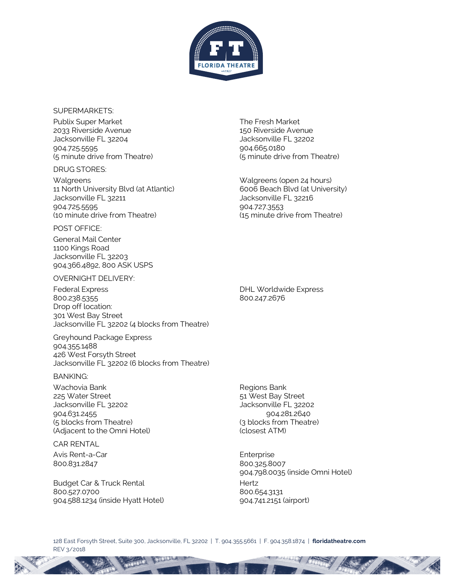

#### SUPERMARKETS:

Publix Super Market The Fresh Market 2033 Riverside Avenue 150 Riverside Avenue Jacksonville FL 32204 Jacksonville FL 32202 904.725.5595 904.665.0180 (5 minute drive from Theatre) (5 minute drive from Theatre)

#### DRUG STORES:

Walgreens Walgreens (open 24 hours) 11 North University Blvd (at Atlantic) 6006 Beach Blvd (at University) Jacksonville FL 32211 Jacksonville FL 32216 904.725.5595 904.727.3553 (10 minute drive from Theatre) (15 minute drive from Theatre)

#### POST OFFICE:

General Mail Center 1100 Kings Road Jacksonville FL 32203 904.366.4892, 800 ASK USPS

# OVERNIGHT DELIVERY:

Federal Express **DHL Worldwide Express** 800.238.5355 800.247.2676 Drop off location: 301 West Bay Street Jacksonville FL 32202 (4 blocks from Theatre)

Greyhound Package Express 904.355.1488 426 West Forsyth Street Jacksonville FL 32202 (6 blocks from Theatre)

#### BANKING:

Wachovia Bank **Regions Bank** Regions Bank 225 Water Street 61 November 225 West Bay Street Jacksonville FL 32202 Jacksonville FL 32202 904.631.2455 904.281.2640 (5 blocks from Theatre) (3 blocks from Theatre) (Adjacent to the Omni Hotel) (closest ATM)

CAR RENTAL Avis Rent-a-Car **Enterprise** 800.831.2847 800.325.8007

Budget Car & Truck Rental **Hertz** Hertz 800.527.0700 800.654.3131 904.588.1234 (inside Hyatt Hotel) 904.741.2151 (airport)

904.798.0035 (inside Omni Hotel)